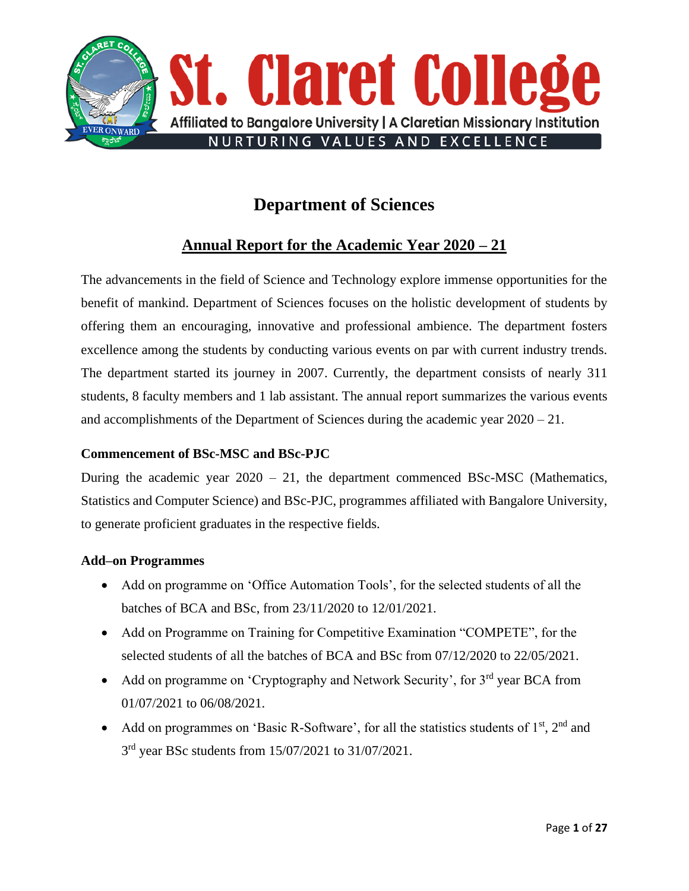

# **Department of Sciences**

# **Annual Report for the Academic Year 2020 – 21**

The advancements in the field of Science and Technology explore immense opportunities for the benefit of mankind. Department of Sciences focuses on the holistic development of students by offering them an encouraging, innovative and professional ambience. The department fosters excellence among the students by conducting various events on par with current industry trends. The department started its journey in 2007. Currently, the department consists of nearly 311 students, 8 faculty members and 1 lab assistant. The annual report summarizes the various events and accomplishments of the Department of Sciences during the academic year 2020 – 21.

## **Commencement of BSc-MSC and BSc-PJC**

During the academic year  $2020 - 21$ , the department commenced BSc-MSC (Mathematics, Statistics and Computer Science) and BSc-PJC, programmes affiliated with Bangalore University, to generate proficient graduates in the respective fields.

### **Add–on Programmes**

- Add on programme on 'Office Automation Tools', for the selected students of all the batches of BCA and BSc, from 23/11/2020 to 12/01/2021.
- Add on Programme on Training for Competitive Examination "COMPETE", for the selected students of all the batches of BCA and BSc from 07/12/2020 to 22/05/2021.
- Add on programme on 'Cryptography and Network Security', for  $3<sup>rd</sup>$  year BCA from 01/07/2021 to 06/08/2021.
- Add on programmes on 'Basic R-Software', for all the statistics students of  $1<sup>st</sup>$ ,  $2<sup>nd</sup>$  and 3<sup>rd</sup> year BSc students from 15/07/2021 to 31/07/2021.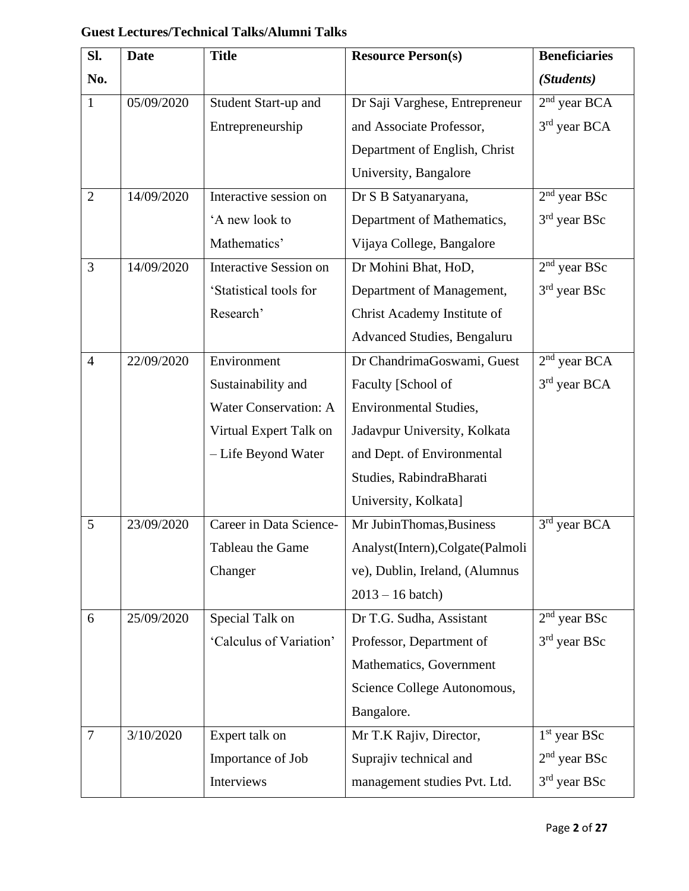| SI.            | <b>Date</b> | <b>Title</b>                  | <b>Resource Person(s)</b>        | <b>Beneficiaries</b> |
|----------------|-------------|-------------------------------|----------------------------------|----------------------|
| No.            |             |                               |                                  | (Students)           |
| $\mathbf{1}$   | 05/09/2020  | Student Start-up and          | Dr Saji Varghese, Entrepreneur   | $2nd$ year BCA       |
|                |             | Entrepreneurship              | and Associate Professor,         | $3rd$ year BCA       |
|                |             |                               | Department of English, Christ    |                      |
|                |             |                               | University, Bangalore            |                      |
| $\overline{2}$ | 14/09/2020  | Interactive session on        | Dr S B Satyanaryana,             | $2nd$ year BSc       |
|                |             | 'A new look to                | Department of Mathematics,       | $3rd$ year BSc       |
|                |             | Mathematics'                  | Vijaya College, Bangalore        |                      |
| 3              | 14/09/2020  | <b>Interactive Session on</b> | Dr Mohini Bhat, HoD,             | $2nd$ year BSc       |
|                |             | 'Statistical tools for        | Department of Management,        | $3rd$ year BSc       |
|                |             | Research'                     | Christ Academy Institute of      |                      |
|                |             |                               | Advanced Studies, Bengaluru      |                      |
| $\overline{4}$ | 22/09/2020  | Environment                   | Dr ChandrimaGoswami, Guest       | $2nd$ year BCA       |
|                |             | Sustainability and            | Faculty [School of               | $3rd$ year BCA       |
|                |             | <b>Water Conservation: A</b>  | <b>Environmental Studies,</b>    |                      |
|                |             | Virtual Expert Talk on        | Jadavpur University, Kolkata     |                      |
|                |             | - Life Beyond Water           | and Dept. of Environmental       |                      |
|                |             |                               | Studies, RabindraBharati         |                      |
|                |             |                               | University, Kolkata]             |                      |
| 5              | 23/09/2020  | Career in Data Science-       | Mr JubinThomas, Business         | 3rd year BCA         |
|                |             | Tableau the Game              | Analyst(Intern), Colgate(Palmoli |                      |
|                |             | Changer                       | ve), Dublin, Ireland, (Alumnus   |                      |
|                |             |                               | $2013 - 16 \text{ batch}$        |                      |
| 6              | 25/09/2020  | Special Talk on               | Dr T.G. Sudha, Assistant         | $2nd$ year BSc       |
|                |             | 'Calculus of Variation'       | Professor, Department of         | $3rd$ year BSc       |
|                |             |                               | Mathematics, Government          |                      |
|                |             |                               | Science College Autonomous,      |                      |
|                |             |                               | Bangalore.                       |                      |
| 7              | 3/10/2020   | Expert talk on                | Mr T.K Rajiv, Director,          | $1st$ year BSc       |
|                |             | Importance of Job             | Suprajiv technical and           | $2nd$ year BSc       |
|                |             | Interviews                    | management studies Pvt. Ltd.     | $3rd$ year BSc       |

# **Guest Lectures/Technical Talks/Alumni Talks**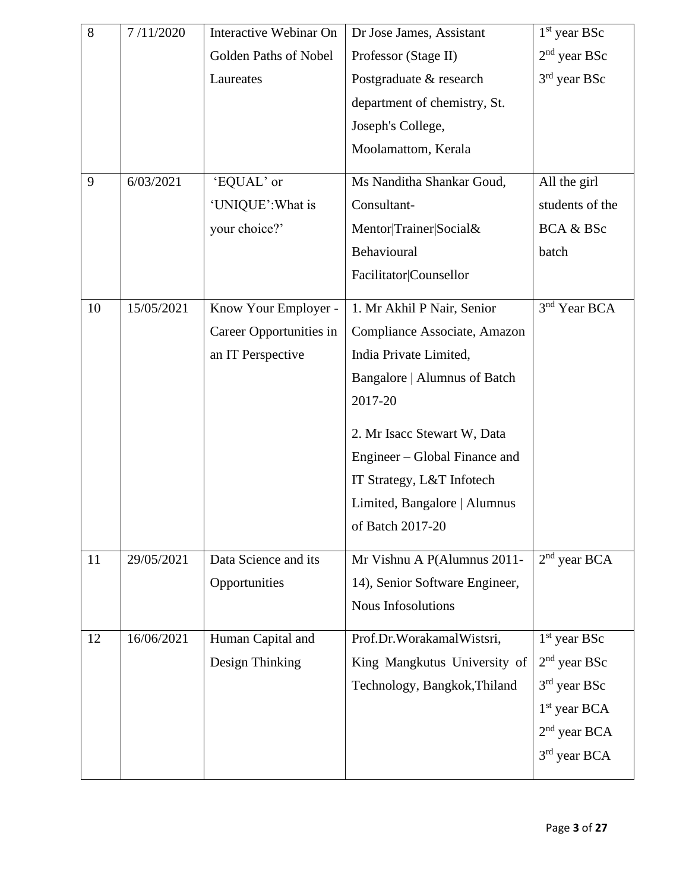| 8  | 7/11/2020  | Interactive Webinar On  | Dr Jose James, Assistant       | $1st$ year BSc           |
|----|------------|-------------------------|--------------------------------|--------------------------|
|    |            | Golden Paths of Nobel   | Professor (Stage II)           | $2nd$ year BSc           |
|    |            | Laureates               | Postgraduate & research        | 3rd year BSc             |
|    |            |                         | department of chemistry, St.   |                          |
|    |            |                         | Joseph's College,              |                          |
|    |            |                         | Moolamattom, Kerala            |                          |
| 9  | 6/03/2021  | 'EQUAL' or              | Ms Nanditha Shankar Goud,      | All the girl             |
|    |            | 'UNIQUE': What is       | Consultant-                    | students of the          |
|    |            | your choice?'           | Mentor Trainer Social&         | BCA & BSc                |
|    |            |                         | Behavioural                    | batch                    |
|    |            |                         | Facilitator Counsellor         |                          |
| 10 | 15/05/2021 | Know Your Employer -    | 1. Mr Akhil P Nair, Senior     | 3 <sup>nd</sup> Year BCA |
|    |            | Career Opportunities in | Compliance Associate, Amazon   |                          |
|    |            | an IT Perspective       | India Private Limited,         |                          |
|    |            |                         | Bangalore   Alumnus of Batch   |                          |
|    |            |                         | 2017-20                        |                          |
|    |            |                         | 2. Mr Isacc Stewart W, Data    |                          |
|    |            |                         | Engineer – Global Finance and  |                          |
|    |            |                         | IT Strategy, L&T Infotech      |                          |
|    |            |                         | Limited, Bangalore   Alumnus   |                          |
|    |            |                         | of Batch 2017-20               |                          |
| 11 | 29/05/2021 | Data Science and its    | Mr Vishnu A P(Alumnus 2011-    | $2nd$ year BCA           |
|    |            | Opportunities           | 14), Senior Software Engineer, |                          |
|    |            |                         | Nous Infosolutions             |                          |
| 12 | 16/06/2021 | Human Capital and       | Prof.Dr.WorakamalWistsri,      | $1st$ year BSc           |
|    |            | Design Thinking         | King Mangkutus University of   | $2nd$ year BSc           |
|    |            |                         | Technology, Bangkok, Thiland   | $3rd$ year BSc           |
|    |            |                         |                                | $1st$ year BCA           |
|    |            |                         |                                | $2nd$ year BCA           |
|    |            |                         |                                | 3 <sup>rd</sup> year BCA |
|    |            |                         |                                |                          |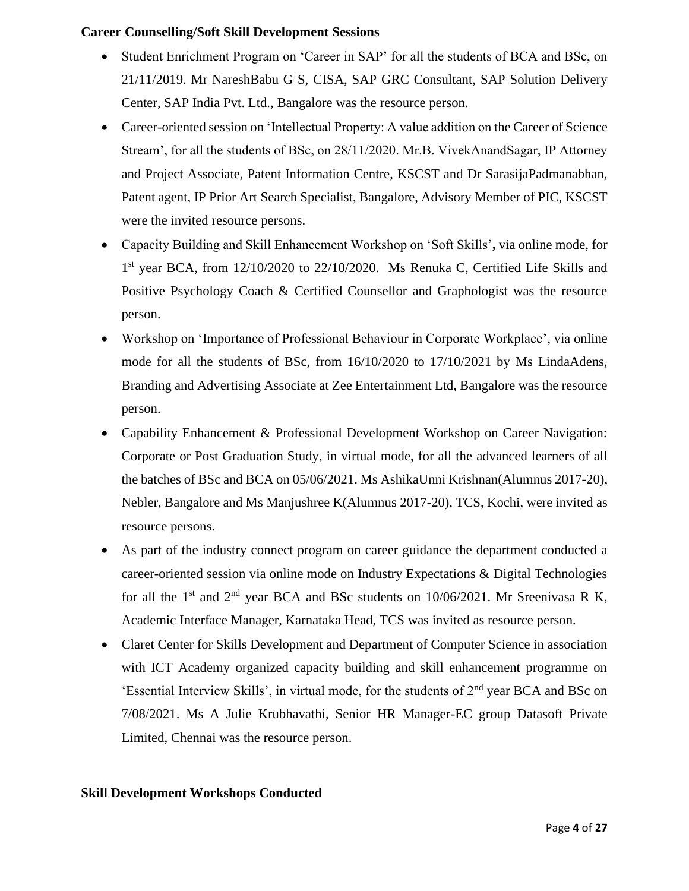### **Career Counselling/Soft Skill Development Sessions**

- Student Enrichment Program on 'Career in SAP' for all the students of BCA and BSc, on 21/11/2019. Mr NareshBabu G S, CISA, SAP GRC Consultant, SAP Solution Delivery Center, SAP India Pvt. Ltd., Bangalore was the resource person.
- Career-oriented session on 'Intellectual Property: A value addition on the Career of Science Stream', for all the students of BSc, on 28/11/2020. Mr.B. VivekAnandSagar, IP Attorney and Project Associate, Patent Information Centre, KSCST and Dr SarasijaPadmanabhan, Patent agent, IP Prior Art Search Specialist, Bangalore, Advisory Member of PIC, KSCST were the invited resource persons.
- Capacity Building and Skill Enhancement Workshop on 'Soft Skills'**,** via online mode, for 1<sup>st</sup> year BCA, from 12/10/2020 to 22/10/2020. Ms Renuka C, Certified Life Skills and Positive Psychology Coach & Certified Counsellor and Graphologist was the resource person.
- Workshop on 'Importance of Professional Behaviour in Corporate Workplace', via online mode for all the students of BSc, from 16/10/2020 to 17/10/2021 by Ms LindaAdens, Branding and Advertising Associate at Zee Entertainment Ltd, Bangalore was the resource person.
- Capability Enhancement & Professional Development Workshop on Career Navigation: Corporate or Post Graduation Study, in virtual mode, for all the advanced learners of all the batches of BSc and BCA on 05/06/2021. Ms AshikaUnni Krishnan(Alumnus 2017-20), Nebler, Bangalore and Ms Manjushree K(Alumnus 2017-20), TCS, Kochi, were invited as resource persons.
- As part of the industry connect program on career guidance the department conducted a career-oriented session via online mode on Industry Expectations & Digital Technologies for all the  $1<sup>st</sup>$  and  $2<sup>nd</sup>$  year BCA and BSc students on 10/06/2021. Mr Sreenivasa R K, Academic Interface Manager, Karnataka Head, TCS was invited as resource person.
- Claret Center for Skills Development and Department of Computer Science in association with ICT Academy organized capacity building and skill enhancement programme on 'Essential Interview Skills', in virtual mode, for the students of 2nd year BCA and BSc on 7/08/2021. Ms A Julie Krubhavathi, Senior HR Manager-EC group Datasoft Private Limited, Chennai was the resource person.

### **Skill Development Workshops Conducted**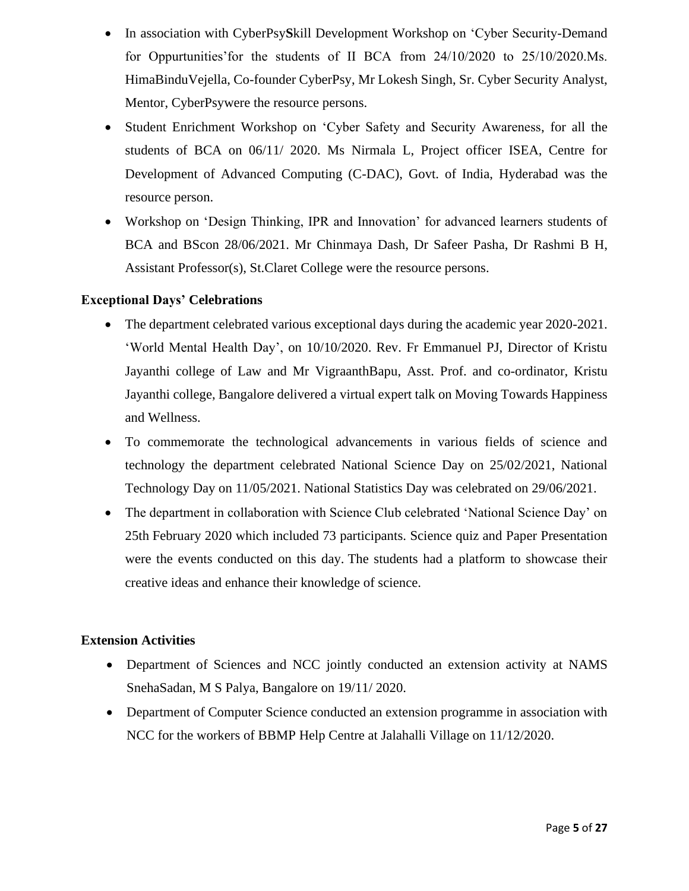- In association with CyberPsy**S**kill Development Workshop on 'Cyber Security-Demand for Oppurtunities'for the students of II BCA from 24/10/2020 to 25/10/2020.Ms. HimaBinduVejella, Co-founder CyberPsy, Mr Lokesh Singh, Sr. Cyber Security Analyst, Mentor, CyberPsywere the resource persons.
- Student Enrichment Workshop on 'Cyber Safety and Security Awareness, for all the students of BCA on 06/11/ 2020. Ms Nirmala L, Project officer ISEA, Centre for Development of Advanced Computing (C-DAC), Govt. of India, Hyderabad was the resource person.
- Workshop on 'Design Thinking, IPR and Innovation' for advanced learners students of BCA and BScon 28/06/2021. Mr Chinmaya Dash, Dr Safeer Pasha, Dr Rashmi B H, Assistant Professor(s), St.Claret College were the resource persons.

### **Exceptional Days' Celebrations**

- The department celebrated various exceptional days during the academic year 2020-2021. 'World Mental Health Day', on 10/10/2020. Rev. Fr Emmanuel PJ, Director of Kristu Jayanthi college of Law and Mr VigraanthBapu, Asst. Prof. and co-ordinator, Kristu Jayanthi college, Bangalore delivered a virtual expert talk on Moving Towards Happiness and Wellness.
- To commemorate the technological advancements in various fields of science and technology the department celebrated National Science Day on 25/02/2021, National Technology Day on 11/05/2021. National Statistics Day was celebrated on 29/06/2021.
- The department in collaboration with Science Club celebrated 'National Science Day' on 25th February 2020 which included 73 participants. Science quiz and Paper Presentation were the events conducted on this day. The students had a platform to showcase their creative ideas and enhance their knowledge of science.

### **Extension Activities**

- Department of Sciences and NCC jointly conducted an extension activity at NAMS SnehaSadan, M S Palya, Bangalore on 19/11/ 2020.
- Department of Computer Science conducted an extension programme in association with NCC for the workers of BBMP Help Centre at Jalahalli Village on 11/12/2020.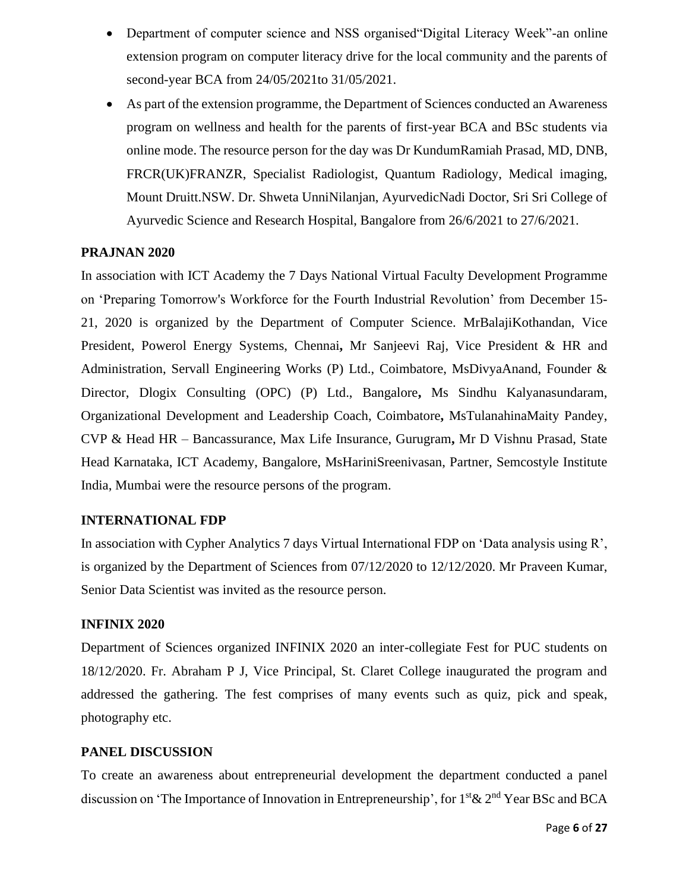- Department of computer science and NSS organised"Digital Literacy Week"-an online extension program on computer literacy drive for the local community and the parents of second-year BCA from 24/05/2021to 31/05/2021.
- As part of the extension programme, the Department of Sciences conducted an Awareness program on wellness and health for the parents of first-year BCA and BSc students via online mode. The resource person for the day was Dr KundumRamiah Prasad, MD, DNB, FRCR(UK)FRANZR, Specialist Radiologist, Quantum Radiology, Medical imaging, Mount Druitt.NSW. Dr. Shweta UnniNilanjan, AyurvedicNadi Doctor, Sri Sri College of Ayurvedic Science and Research Hospital, Bangalore from 26/6/2021 to 27/6/2021.

### **PRAJNAN 2020**

In association with ICT Academy the 7 Days National Virtual Faculty Development Programme on 'Preparing Tomorrow's Workforce for the Fourth Industrial Revolution' from December 15- 21, 2020 is organized by the Department of Computer Science. MrBalajiKothandan, Vice President, Powerol Energy Systems, Chennai**,** Mr Sanjeevi Raj, Vice President & HR and Administration, Servall Engineering Works (P) Ltd., Coimbatore, MsDivyaAnand, Founder & Director, Dlogix Consulting (OPC) (P) Ltd., Bangalore**,** Ms Sindhu Kalyanasundaram, Organizational Development and Leadership Coach, Coimbatore**,** MsTulanahinaMaity Pandey, CVP & Head HR – Bancassurance, Max Life Insurance, Gurugram**,** Mr D Vishnu Prasad, State Head Karnataka, ICT Academy, Bangalore, MsHariniSreenivasan, Partner, Semcostyle Institute India, Mumbai were the resource persons of the program.

### **INTERNATIONAL FDP**

In association with Cypher Analytics 7 days Virtual International FDP on 'Data analysis using R', is organized by the Department of Sciences from 07/12/2020 to 12/12/2020. Mr Praveen Kumar, Senior Data Scientist was invited as the resource person.

### **INFINIX 2020**

Department of Sciences organized INFINIX 2020 an inter-collegiate Fest for PUC students on 18/12/2020. Fr. Abraham P J, Vice Principal, St. Claret College inaugurated the program and addressed the gathering. The fest comprises of many events such as quiz, pick and speak, photography etc.

### **PANEL DISCUSSION**

To create an awareness about entrepreneurial development the department conducted a panel discussion on 'The Importance of Innovation in Entrepreneurship', for 1<sup>st</sup> & 2<sup>nd</sup> Year BSc and BCA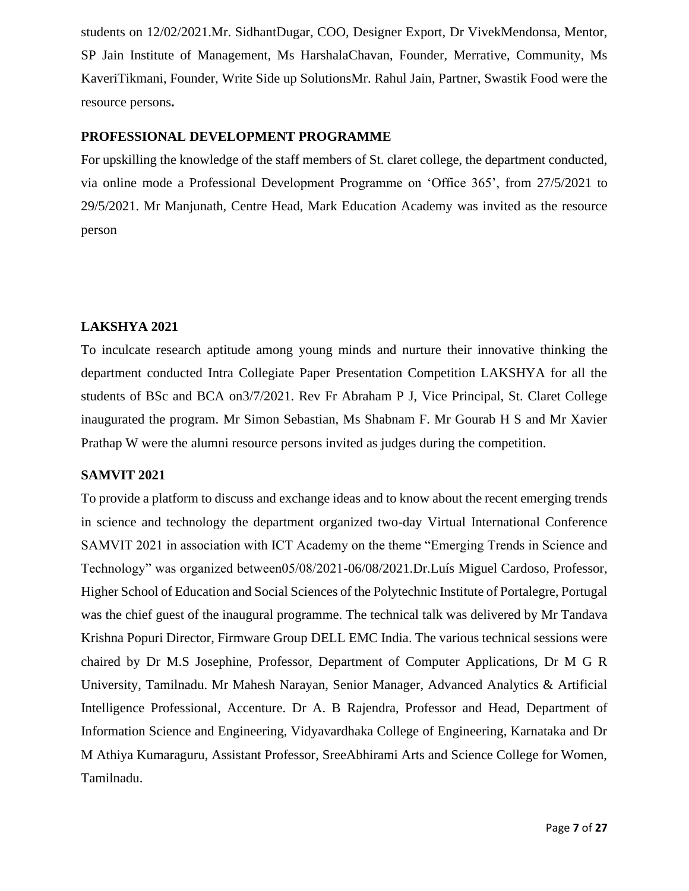students on 12/02/2021.Mr. SidhantDugar, COO, Designer Export, Dr VivekMendonsa, Mentor, SP Jain Institute of Management, Ms HarshalaChavan, Founder, Merrative, Community, Ms KaveriTikmani, Founder, Write Side up SolutionsMr. Rahul Jain, Partner, Swastik Food were the resource persons**.**

### **PROFESSIONAL DEVELOPMENT PROGRAMME**

For upskilling the knowledge of the staff members of St. claret college, the department conducted, via online mode a Professional Development Programme on 'Office 365', from 27/5/2021 to 29/5/2021. Mr Manjunath, Centre Head, Mark Education Academy was invited as the resource person

## **LAKSHYA 2021**

To inculcate research aptitude among young minds and nurture their innovative thinking the department conducted Intra Collegiate Paper Presentation Competition LAKSHYA for all the students of BSc and BCA on3/7/2021. Rev Fr Abraham P J, Vice Principal, St. Claret College inaugurated the program. Mr Simon Sebastian, Ms Shabnam F. Mr Gourab H S and Mr Xavier Prathap W were the alumni resource persons invited as judges during the competition.

### **SAMVIT 2021**

To provide a platform to discuss and exchange ideas and to know about the recent emerging trends in science and technology the department organized two-day Virtual International Conference SAMVIT 2021 in association with ICT Academy on the theme "Emerging Trends in Science and Technology" was organized between05/08/2021-06/08/2021.Dr.Luís Miguel Cardoso, Professor, Higher School of Education and Social Sciences of the Polytechnic Institute of Portalegre, Portugal was the chief guest of the inaugural programme. The technical talk was delivered by Mr Tandava Krishna Popuri Director, Firmware Group DELL EMC India. The various technical sessions were chaired by Dr M.S Josephine, Professor, Department of Computer Applications, Dr M G R University, Tamilnadu. Mr Mahesh Narayan, Senior Manager, Advanced Analytics & Artificial Intelligence Professional, Accenture. Dr A. B Rajendra, Professor and Head, Department of Information Science and Engineering, Vidyavardhaka College of Engineering, Karnataka and Dr M Athiya Kumaraguru, Assistant Professor, SreeAbhirami Arts and Science College for Women, Tamilnadu.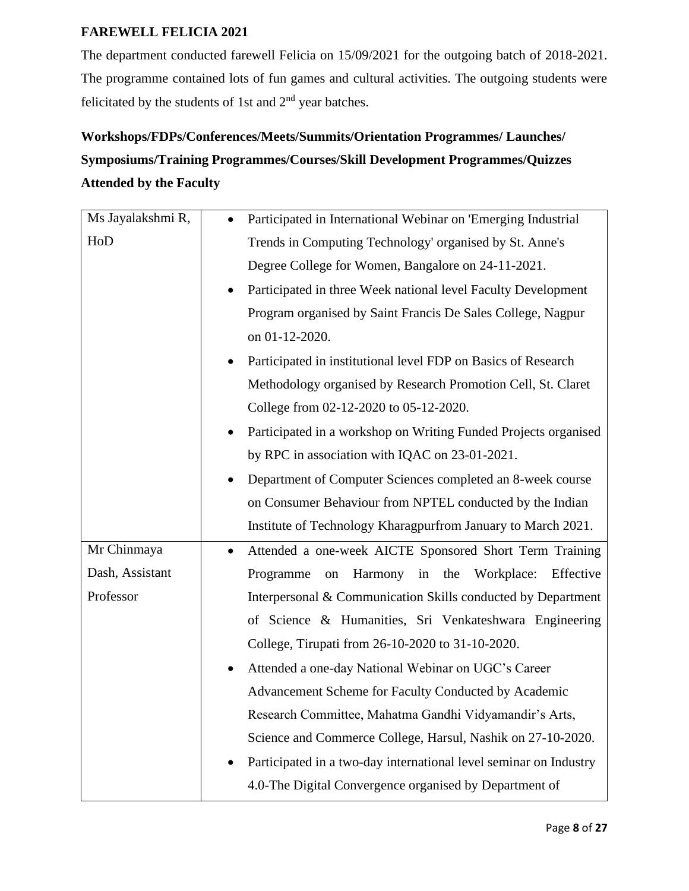## **FAREWELL FELICIA 2021**

The department conducted farewell Felicia on 15/09/2021 for the outgoing batch of 2018-2021. The programme contained lots of fun games and cultural activities. The outgoing students were felicitated by the students of 1st and 2nd year batches.

# **Workshops/FDPs/Conferences/Meets/Summits/Orientation Programmes/ Launches/ Symposiums/Training Programmes/Courses/Skill Development Programmes/Quizzes Attended by the Faculty**

| Ms Jayalakshmi R, | Participated in International Webinar on 'Emerging Industrial<br>$\bullet$ |
|-------------------|----------------------------------------------------------------------------|
| HoD               | Trends in Computing Technology' organised by St. Anne's                    |
|                   | Degree College for Women, Bangalore on 24-11-2021.                         |
|                   | Participated in three Week national level Faculty Development              |
|                   | Program organised by Saint Francis De Sales College, Nagpur                |
|                   | on 01-12-2020.                                                             |
|                   | Participated in institutional level FDP on Basics of Research              |
|                   | Methodology organised by Research Promotion Cell, St. Claret               |
|                   | College from 02-12-2020 to 05-12-2020.                                     |
|                   | Participated in a workshop on Writing Funded Projects organised            |
|                   | by RPC in association with IQAC on 23-01-2021.                             |
|                   | Department of Computer Sciences completed an 8-week course                 |
|                   | on Consumer Behaviour from NPTEL conducted by the Indian                   |
|                   | Institute of Technology Kharagpurfrom January to March 2021.               |
| Mr Chinmaya       | Attended a one-week AICTE Sponsored Short Term Training                    |
| Dash, Assistant   | Harmony<br>in<br>the<br>Workplace:<br>Effective<br>Programme<br>on         |
| Professor         | Interpersonal & Communication Skills conducted by Department               |
|                   | of Science & Humanities, Sri Venkateshwara Engineering                     |
|                   | College, Tirupati from 26-10-2020 to 31-10-2020.                           |
|                   | Attended a one-day National Webinar on UGC's Career                        |
|                   | Advancement Scheme for Faculty Conducted by Academic                       |
|                   | Research Committee, Mahatma Gandhi Vidyamandir's Arts,                     |
|                   | Science and Commerce College, Harsul, Nashik on 27-10-2020.                |
|                   | Participated in a two-day international level seminar on Industry          |
|                   | 4.0-The Digital Convergence organised by Department of                     |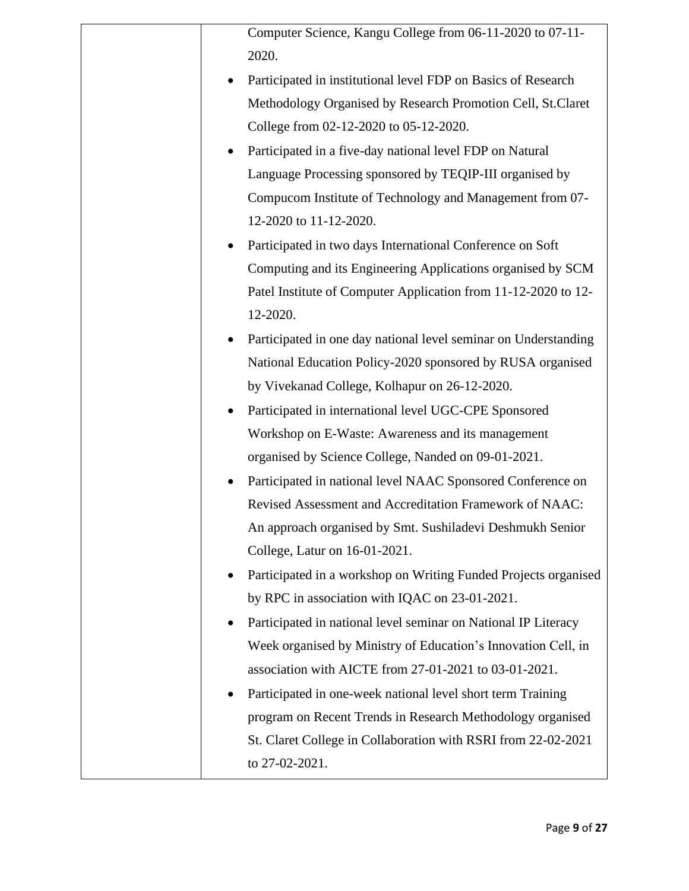| Computer Science, Kangu College from 06-11-2020 to 07-11-        |
|------------------------------------------------------------------|
| 2020.                                                            |
| Participated in institutional level FDP on Basics of Research    |
| Methodology Organised by Research Promotion Cell, St.Claret      |
| College from 02-12-2020 to 05-12-2020.                           |
| Participated in a five-day national level FDP on Natural         |
| Language Processing sponsored by TEQIP-III organised by          |
| Compucom Institute of Technology and Management from 07-         |
| 12-2020 to 11-12-2020.                                           |
| Participated in two days International Conference on Soft        |
| Computing and its Engineering Applications organised by SCM      |
| Patel Institute of Computer Application from 11-12-2020 to 12-   |
| 12-2020.                                                         |
| Participated in one day national level seminar on Understanding  |
| National Education Policy-2020 sponsored by RUSA organised       |
| by Vivekanad College, Kolhapur on 26-12-2020.                    |
| Participated in international level UGC-CPE Sponsored            |
| Workshop on E-Waste: Awareness and its management                |
| organised by Science College, Nanded on 09-01-2021.              |
| Participated in national level NAAC Sponsored Conference on      |
| Revised Assessment and Accreditation Framework of NAAC:          |
| An approach organised by Smt. Sushiladevi Deshmukh Senior        |
| College, Latur on 16-01-2021.                                    |
| Participated in a workshop on Writing Funded Projects organised  |
| by RPC in association with IQAC on 23-01-2021.                   |
| Participated in national level seminar on National IP Literacy   |
| Week organised by Ministry of Education's Innovation Cell, in    |
| association with AICTE from 27-01-2021 to 03-01-2021.            |
| Participated in one-week national level short term Training<br>٠ |
| program on Recent Trends in Research Methodology organised       |
| St. Claret College in Collaboration with RSRI from 22-02-2021    |
| to 27-02-2021.                                                   |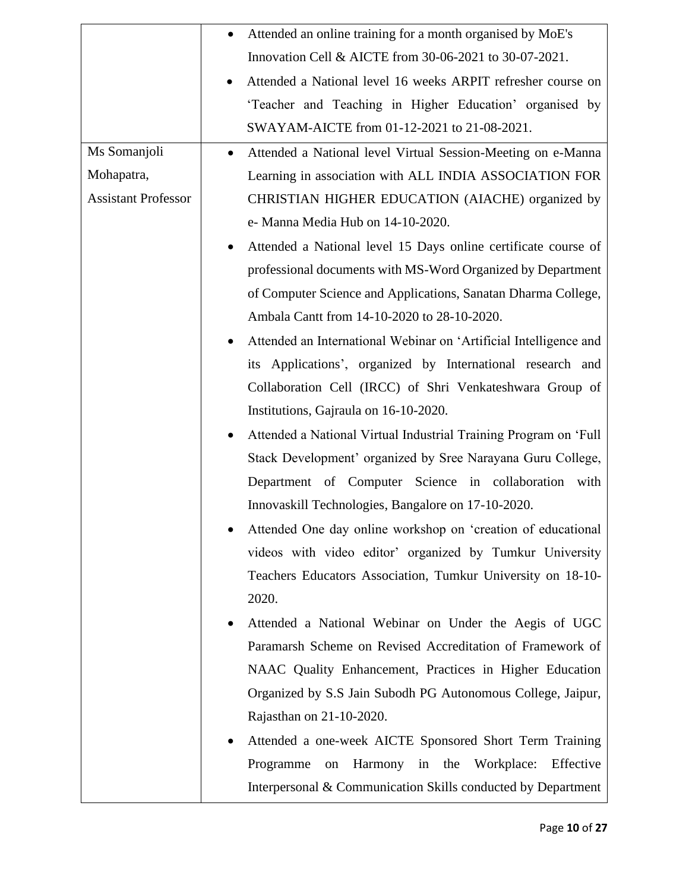|                            | Attended an online training for a month organised by MoE's<br>٠           |
|----------------------------|---------------------------------------------------------------------------|
|                            | Innovation Cell & AICTE from 30-06-2021 to 30-07-2021.                    |
|                            | Attended a National level 16 weeks ARPIT refresher course on<br>$\bullet$ |
|                            | 'Teacher and Teaching in Higher Education' organised by                   |
|                            | SWAYAM-AICTE from 01-12-2021 to 21-08-2021.                               |
| Ms Somanjoli               | Attended a National level Virtual Session-Meeting on e-Manna              |
| Mohapatra,                 | Learning in association with ALL INDIA ASSOCIATION FOR                    |
| <b>Assistant Professor</b> | CHRISTIAN HIGHER EDUCATION (AIACHE) organized by                          |
|                            | e- Manna Media Hub on 14-10-2020.                                         |
|                            | Attended a National level 15 Days online certificate course of            |
|                            | professional documents with MS-Word Organized by Department               |
|                            | of Computer Science and Applications, Sanatan Dharma College,             |
|                            | Ambala Cantt from 14-10-2020 to 28-10-2020.                               |
|                            | Attended an International Webinar on 'Artificial Intelligence and         |
|                            | its Applications', organized by International research and                |
|                            | Collaboration Cell (IRCC) of Shri Venkateshwara Group of                  |
|                            | Institutions, Gajraula on 16-10-2020.                                     |
|                            | Attended a National Virtual Industrial Training Program on 'Full          |
|                            | Stack Development' organized by Sree Narayana Guru College,               |
|                            | Department of Computer Science in collaboration with                      |
|                            | Innovaskill Technologies, Bangalore on 17-10-2020.                        |
|                            | Attended One day online workshop on 'creation of educational              |
|                            | videos with video editor' organized by Tumkur University                  |
|                            | Teachers Educators Association, Tumkur University on 18-10-               |
|                            | 2020.                                                                     |
|                            | Attended a National Webinar on Under the Aegis of UGC                     |
|                            | Paramarsh Scheme on Revised Accreditation of Framework of                 |
|                            | NAAC Quality Enhancement, Practices in Higher Education                   |
|                            | Organized by S.S Jain Subodh PG Autonomous College, Jaipur,               |
|                            | Rajasthan on 21-10-2020.                                                  |
|                            | Attended a one-week AICTE Sponsored Short Term Training                   |
|                            | Harmony in the<br>Workplace:<br>Effective<br>Programme<br>$\,$ on $\,$    |
|                            | Interpersonal & Communication Skills conducted by Department              |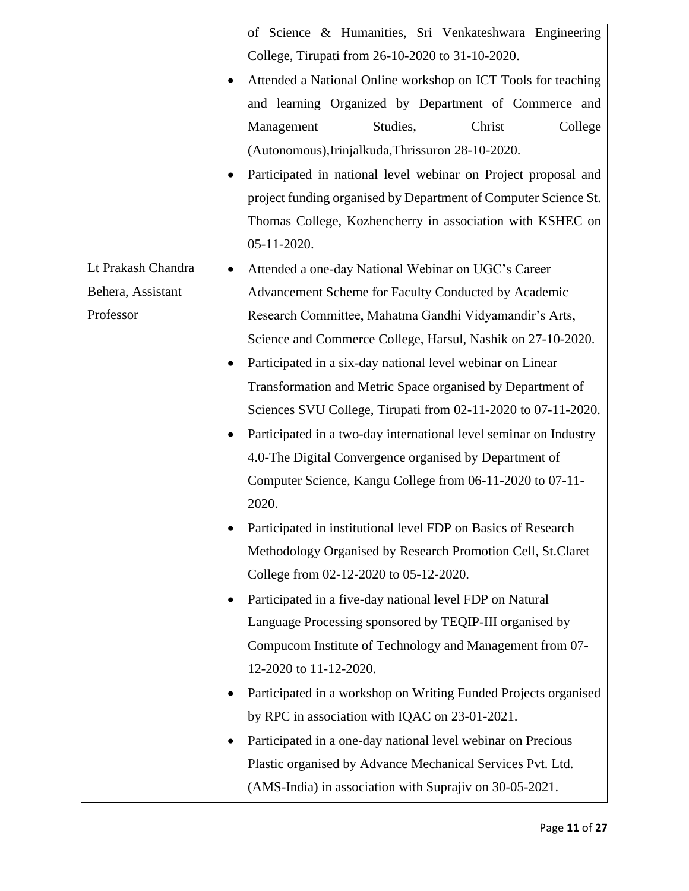|                    | of Science & Humanities, Sri Venkateshwara Engineering                       |
|--------------------|------------------------------------------------------------------------------|
|                    | College, Tirupati from 26-10-2020 to 31-10-2020.                             |
|                    | Attended a National Online workshop on ICT Tools for teaching                |
|                    | and learning Organized by Department of Commerce and                         |
|                    | Studies,<br>Management<br>Christ<br>College                                  |
|                    | (Autonomous), Irinjalkuda, Thrissuron 28-10-2020.                            |
|                    | Participated in national level webinar on Project proposal and               |
|                    | project funding organised by Department of Computer Science St.              |
|                    | Thomas College, Kozhencherry in association with KSHEC on                    |
|                    | 05-11-2020.                                                                  |
| Lt Prakash Chandra | Attended a one-day National Webinar on UGC's Career                          |
| Behera, Assistant  | Advancement Scheme for Faculty Conducted by Academic                         |
| Professor          | Research Committee, Mahatma Gandhi Vidyamandir's Arts,                       |
|                    | Science and Commerce College, Harsul, Nashik on 27-10-2020.                  |
|                    | Participated in a six-day national level webinar on Linear                   |
|                    | Transformation and Metric Space organised by Department of                   |
|                    | Sciences SVU College, Tirupati from 02-11-2020 to 07-11-2020.                |
|                    | Participated in a two-day international level seminar on Industry            |
|                    | 4.0-The Digital Convergence organised by Department of                       |
|                    | Computer Science, Kangu College from 06-11-2020 to 07-11-                    |
|                    | 2020.                                                                        |
|                    | Participated in institutional level FDP on Basics of Research                |
|                    | Methodology Organised by Research Promotion Cell, St.Claret                  |
|                    | College from 02-12-2020 to 05-12-2020.                                       |
|                    | Participated in a five-day national level FDP on Natural<br>$\bullet$        |
|                    | Language Processing sponsored by TEQIP-III organised by                      |
|                    | Compucom Institute of Technology and Management from 07-                     |
|                    | 12-2020 to 11-12-2020.                                                       |
|                    | Participated in a workshop on Writing Funded Projects organised<br>$\bullet$ |
|                    | by RPC in association with IQAC on 23-01-2021.                               |
|                    | Participated in a one-day national level webinar on Precious                 |
|                    | Plastic organised by Advance Mechanical Services Pvt. Ltd.                   |
|                    | (AMS-India) in association with Suprajiv on 30-05-2021.                      |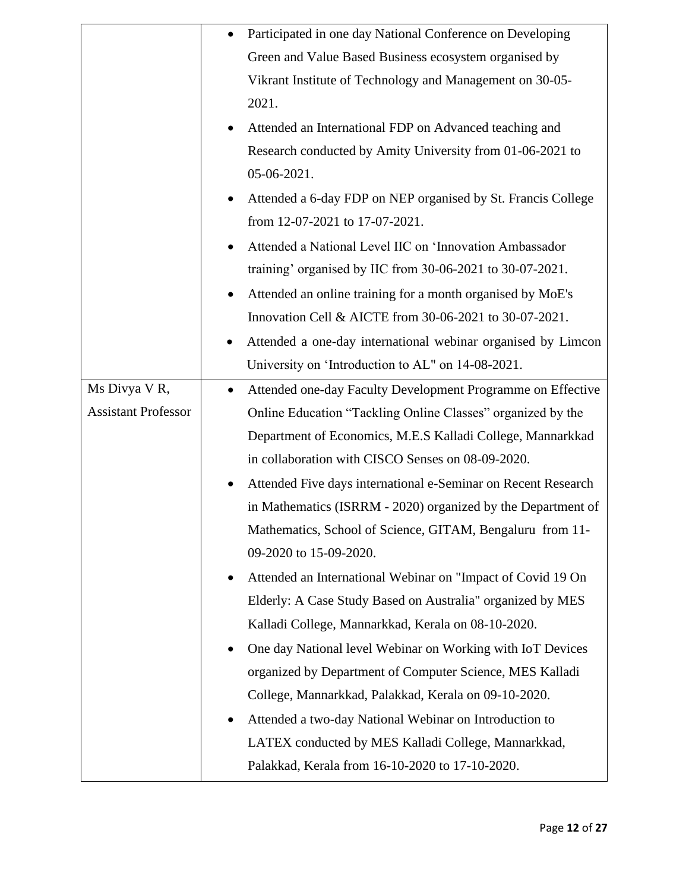|                            |           | Participated in one day National Conference on Developing     |
|----------------------------|-----------|---------------------------------------------------------------|
|                            |           | Green and Value Based Business ecosystem organised by         |
|                            |           | Vikrant Institute of Technology and Management on 30-05-      |
|                            |           | 2021.                                                         |
|                            |           | Attended an International FDP on Advanced teaching and        |
|                            |           | Research conducted by Amity University from 01-06-2021 to     |
|                            |           | 05-06-2021.                                                   |
|                            |           | Attended a 6-day FDP on NEP organised by St. Francis College  |
|                            |           | from 12-07-2021 to 17-07-2021.                                |
|                            |           | Attended a National Level IIC on 'Innovation Ambassador       |
|                            |           | training' organised by IIC from 30-06-2021 to 30-07-2021.     |
|                            |           | Attended an online training for a month organised by MoE's    |
|                            |           | Innovation Cell & AICTE from 30-06-2021 to 30-07-2021.        |
|                            |           | Attended a one-day international webinar organised by Limcon  |
|                            |           | University on 'Introduction to AL" on 14-08-2021.             |
| Ms Divya VR,               | $\bullet$ | Attended one-day Faculty Development Programme on Effective   |
| <b>Assistant Professor</b> |           | Online Education "Tackling Online Classes" organized by the   |
|                            |           | Department of Economics, M.E.S Kalladi College, Mannarkkad    |
|                            |           | in collaboration with CISCO Senses on 08-09-2020.             |
|                            | ٠         | Attended Five days international e-Seminar on Recent Research |
|                            |           | in Mathematics (ISRRM - 2020) organized by the Department of  |
|                            |           | Mathematics, School of Science, GITAM, Bengaluru from 11-     |
|                            |           | 09-2020 to 15-09-2020.                                        |
|                            |           | Attended an International Webinar on "Impact of Covid 19 On   |
|                            |           | Elderly: A Case Study Based on Australia" organized by MES    |
|                            |           | Kalladi College, Mannarkkad, Kerala on 08-10-2020.            |
|                            |           | One day National level Webinar on Working with IoT Devices    |
|                            |           | organized by Department of Computer Science, MES Kalladi      |
|                            |           | College, Mannarkkad, Palakkad, Kerala on 09-10-2020.          |
|                            | $\bullet$ | Attended a two-day National Webinar on Introduction to        |
|                            |           | LATEX conducted by MES Kalladi College, Mannarkkad,           |
|                            |           | Palakkad, Kerala from 16-10-2020 to 17-10-2020.               |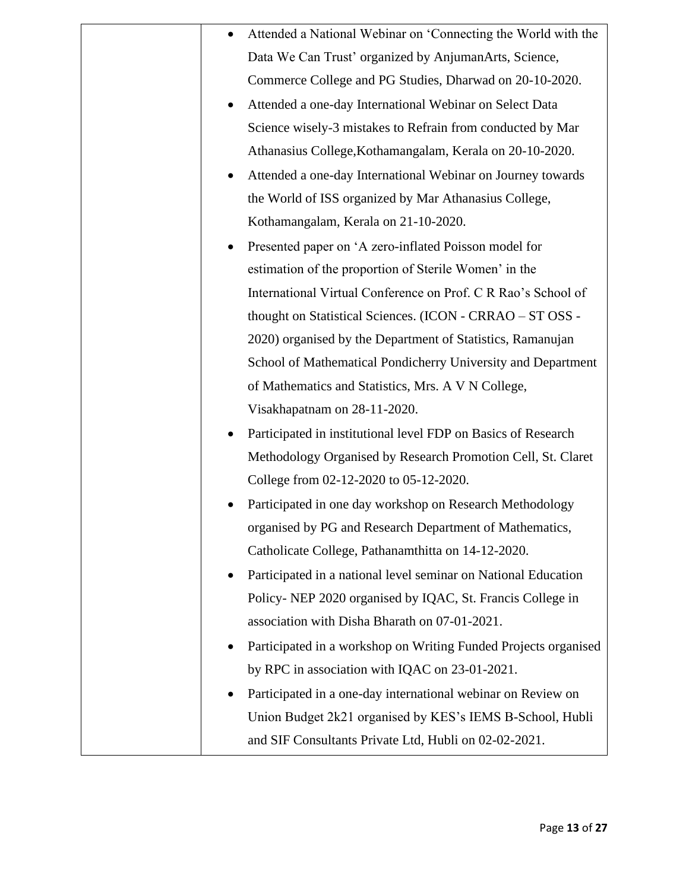| Attended a National Webinar on 'Connecting the World with the   |
|-----------------------------------------------------------------|
| Data We Can Trust' organized by AnjumanArts, Science,           |
| Commerce College and PG Studies, Dharwad on 20-10-2020.         |
| Attended a one-day International Webinar on Select Data         |
| Science wisely-3 mistakes to Refrain from conducted by Mar      |
| Athanasius College, Kothamangalam, Kerala on 20-10-2020.        |
| Attended a one-day International Webinar on Journey towards     |
| the World of ISS organized by Mar Athanasius College,           |
| Kothamangalam, Kerala on 21-10-2020.                            |
| Presented paper on 'A zero-inflated Poisson model for           |
| estimation of the proportion of Sterile Women' in the           |
| International Virtual Conference on Prof. C R Rao's School of   |
| thought on Statistical Sciences. (ICON - CRRAO - ST OSS -       |
| 2020) organised by the Department of Statistics, Ramanujan      |
| School of Mathematical Pondicherry University and Department    |
| of Mathematics and Statistics, Mrs. A V N College,              |
| Visakhapatnam on 28-11-2020.                                    |
| Participated in institutional level FDP on Basics of Research   |
| Methodology Organised by Research Promotion Cell, St. Claret    |
| College from 02-12-2020 to 05-12-2020.                          |
| Participated in one day workshop on Research Methodology        |
| organised by PG and Research Department of Mathematics,         |
| Catholicate College, Pathanamthitta on 14-12-2020.              |
| Participated in a national level seminar on National Education  |
| Policy-NEP 2020 organised by IQAC, St. Francis College in       |
| association with Disha Bharath on 07-01-2021.                   |
| Participated in a workshop on Writing Funded Projects organised |
| by RPC in association with IQAC on 23-01-2021.                  |
| Participated in a one-day international webinar on Review on    |
| Union Budget 2k21 organised by KES's IEMS B-School, Hubli       |
| and SIF Consultants Private Ltd, Hubli on 02-02-2021.           |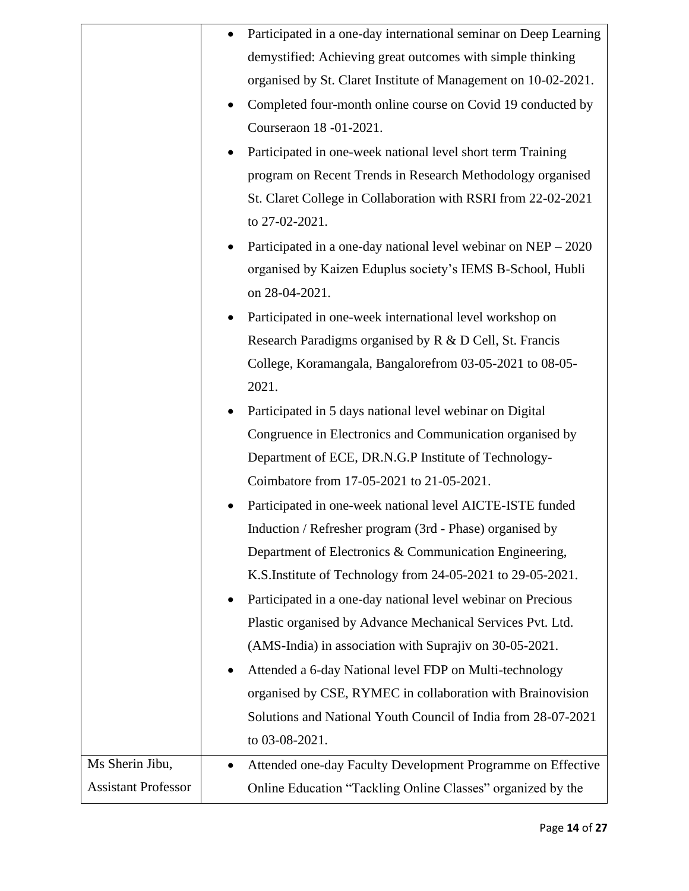|                            |           | Participated in a one-day international seminar on Deep Learning |
|----------------------------|-----------|------------------------------------------------------------------|
|                            |           | demystified: Achieving great outcomes with simple thinking       |
|                            |           | organised by St. Claret Institute of Management on 10-02-2021.   |
|                            | ٠         | Completed four-month online course on Covid 19 conducted by      |
|                            |           | Courseraon 18 -01-2021.                                          |
|                            |           | Participated in one-week national level short term Training      |
|                            |           | program on Recent Trends in Research Methodology organised       |
|                            |           | St. Claret College in Collaboration with RSRI from 22-02-2021    |
|                            |           | to 27-02-2021.                                                   |
|                            |           | Participated in a one-day national level webinar on NEP - 2020   |
|                            |           | organised by Kaizen Eduplus society's IEMS B-School, Hubli       |
|                            |           | on 28-04-2021.                                                   |
|                            |           | Participated in one-week international level workshop on         |
|                            |           | Research Paradigms organised by R & D Cell, St. Francis          |
|                            |           | College, Koramangala, Bangalorefrom 03-05-2021 to 08-05-         |
|                            |           | 2021.                                                            |
|                            |           | Participated in 5 days national level webinar on Digital         |
|                            |           | Congruence in Electronics and Communication organised by         |
|                            |           | Department of ECE, DR.N.G.P Institute of Technology-             |
|                            |           | Coimbatore from 17-05-2021 to 21-05-2021.                        |
|                            |           | Participated in one-week national level AICTE-ISTE funded        |
|                            |           | Induction / Refresher program (3rd - Phase) organised by         |
|                            |           | Department of Electronics & Communication Engineering,           |
|                            |           | K.S.Institute of Technology from 24-05-2021 to 29-05-2021.       |
|                            | $\bullet$ | Participated in a one-day national level webinar on Precious     |
|                            |           | Plastic organised by Advance Mechanical Services Pvt. Ltd.       |
|                            |           | (AMS-India) in association with Suprajiv on 30-05-2021.          |
|                            | $\bullet$ | Attended a 6-day National level FDP on Multi-technology          |
|                            |           | organised by CSE, RYMEC in collaboration with Brainovision       |
|                            |           | Solutions and National Youth Council of India from 28-07-2021    |
|                            |           | to 03-08-2021.                                                   |
| Ms Sherin Jibu,            | $\bullet$ | Attended one-day Faculty Development Programme on Effective      |
| <b>Assistant Professor</b> |           | Online Education "Tackling Online Classes" organized by the      |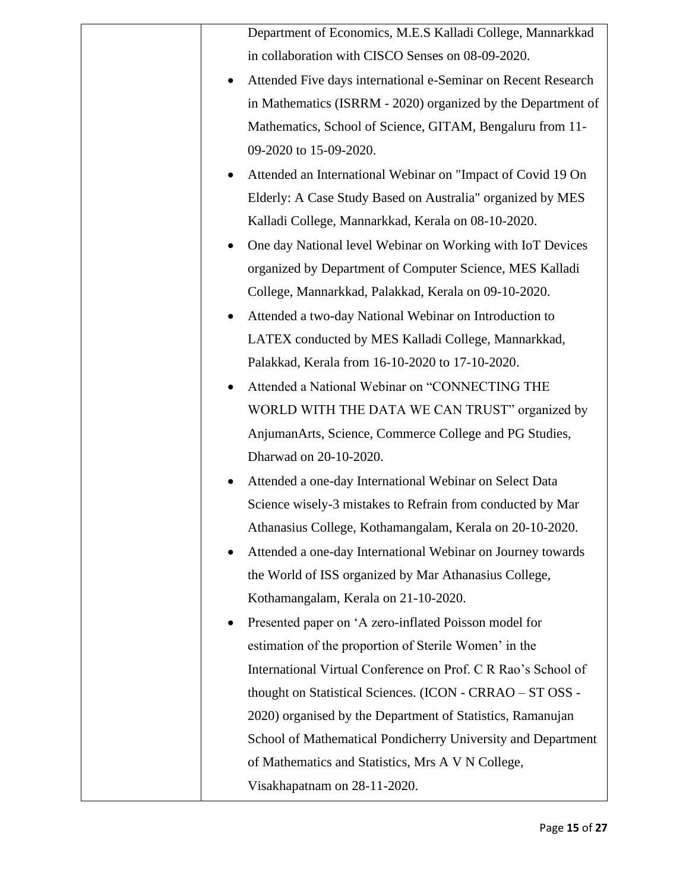|           | Department of Economics, M.E.S Kalladi College, Mannarkkad    |
|-----------|---------------------------------------------------------------|
|           | in collaboration with CISCO Senses on 08-09-2020.             |
| ٠         | Attended Five days international e-Seminar on Recent Research |
|           | in Mathematics (ISRRM - 2020) organized by the Department of  |
|           | Mathematics, School of Science, GITAM, Bengaluru from 11-     |
|           | 09-2020 to 15-09-2020.                                        |
| ٠         | Attended an International Webinar on "Impact of Covid 19 On   |
|           | Elderly: A Case Study Based on Australia" organized by MES    |
|           | Kalladi College, Mannarkkad, Kerala on 08-10-2020.            |
| $\bullet$ | One day National level Webinar on Working with IoT Devices    |
|           | organized by Department of Computer Science, MES Kalladi      |
|           | College, Mannarkkad, Palakkad, Kerala on 09-10-2020.          |
| ٠         | Attended a two-day National Webinar on Introduction to        |
|           | LATEX conducted by MES Kalladi College, Mannarkkad,           |
|           | Palakkad, Kerala from 16-10-2020 to 17-10-2020.               |
|           | Attended a National Webinar on "CONNECTING THE                |
|           | WORLD WITH THE DATA WE CAN TRUST" organized by                |
|           | AnjumanArts, Science, Commerce College and PG Studies,        |
|           | Dharwad on 20-10-2020.                                        |
|           | Attended a one-day International Webinar on Select Data       |
|           | Science wisely-3 mistakes to Refrain from conducted by Mar    |
|           | Athanasius College, Kothamangalam, Kerala on 20-10-2020.      |
|           | Attended a one-day International Webinar on Journey towards   |
|           | the World of ISS organized by Mar Athanasius College,         |
|           | Kothamangalam, Kerala on 21-10-2020.                          |
|           | Presented paper on 'A zero-inflated Poisson model for         |
|           | estimation of the proportion of Sterile Women' in the         |
|           | International Virtual Conference on Prof. C R Rao's School of |
|           | thought on Statistical Sciences. (ICON - CRRAO - ST OSS -     |
|           | 2020) organised by the Department of Statistics, Ramanujan    |
|           | School of Mathematical Pondicherry University and Department  |
|           | of Mathematics and Statistics, Mrs A V N College,             |
|           | Visakhapatnam on 28-11-2020.                                  |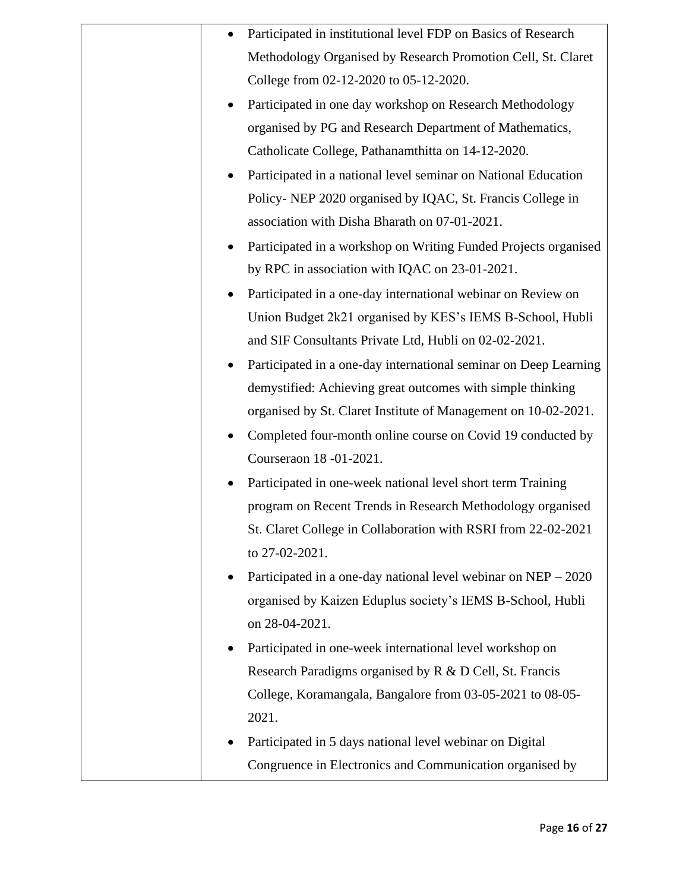|  | Participated in institutional level FDP on Basics of Research    |
|--|------------------------------------------------------------------|
|  | Methodology Organised by Research Promotion Cell, St. Claret     |
|  | College from 02-12-2020 to 05-12-2020.                           |
|  | Participated in one day workshop on Research Methodology         |
|  | organised by PG and Research Department of Mathematics,          |
|  | Catholicate College, Pathanamthitta on 14-12-2020.               |
|  | Participated in a national level seminar on National Education   |
|  | Policy- NEP 2020 organised by IQAC, St. Francis College in       |
|  | association with Disha Bharath on 07-01-2021.                    |
|  | Participated in a workshop on Writing Funded Projects organised  |
|  | by RPC in association with IQAC on 23-01-2021.                   |
|  | Participated in a one-day international webinar on Review on     |
|  | Union Budget 2k21 organised by KES's IEMS B-School, Hubli        |
|  | and SIF Consultants Private Ltd, Hubli on 02-02-2021.            |
|  | Participated in a one-day international seminar on Deep Learning |
|  | demystified: Achieving great outcomes with simple thinking       |
|  | organised by St. Claret Institute of Management on 10-02-2021.   |
|  | Completed four-month online course on Covid 19 conducted by      |
|  | Courseraon 18 -01-2021.                                          |
|  | Participated in one-week national level short term Training      |
|  | program on Recent Trends in Research Methodology organised       |
|  | St. Claret College in Collaboration with RSRI from 22-02-2021    |
|  | to 27-02-2021.                                                   |
|  | Participated in a one-day national level webinar on $NEP - 2020$ |
|  | organised by Kaizen Eduplus society's IEMS B-School, Hubli       |
|  | on 28-04-2021.                                                   |
|  | Participated in one-week international level workshop on         |
|  | Research Paradigms organised by R & D Cell, St. Francis          |
|  | College, Koramangala, Bangalore from 03-05-2021 to 08-05-        |
|  | 2021.                                                            |
|  | Participated in 5 days national level webinar on Digital         |
|  | Congruence in Electronics and Communication organised by         |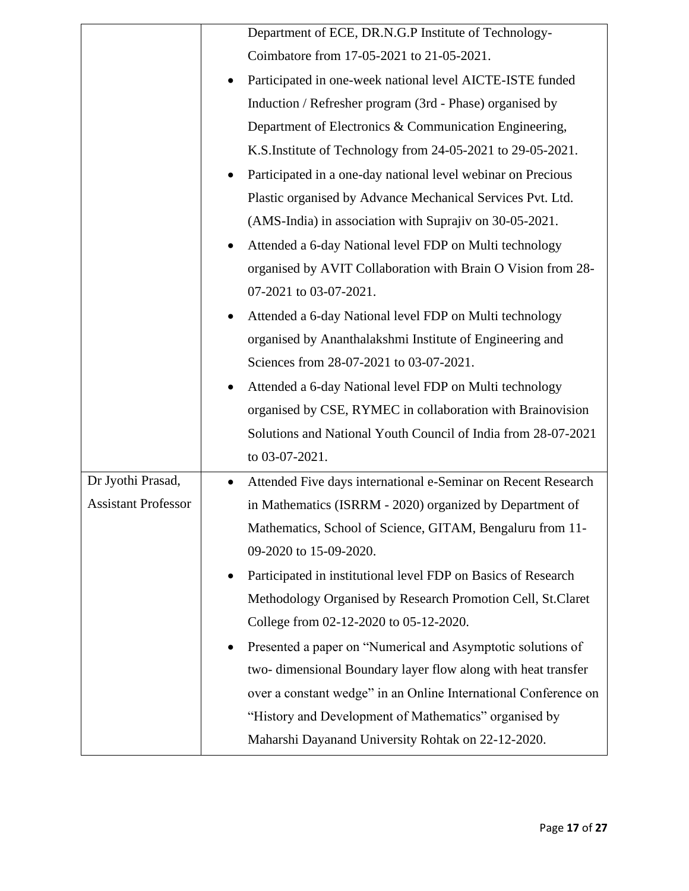|                            |           | Department of ECE, DR.N.G.P Institute of Technology-            |
|----------------------------|-----------|-----------------------------------------------------------------|
|                            |           | Coimbatore from 17-05-2021 to 21-05-2021.                       |
|                            |           | Participated in one-week national level AICTE-ISTE funded       |
|                            |           | Induction / Refresher program (3rd - Phase) organised by        |
|                            |           | Department of Electronics & Communication Engineering,          |
|                            |           | K.S.Institute of Technology from 24-05-2021 to 29-05-2021.      |
|                            |           | Participated in a one-day national level webinar on Precious    |
|                            |           | Plastic organised by Advance Mechanical Services Pvt. Ltd.      |
|                            |           | (AMS-India) in association with Suprajiv on 30-05-2021.         |
|                            |           | Attended a 6-day National level FDP on Multi technology         |
|                            |           | organised by AVIT Collaboration with Brain O Vision from 28-    |
|                            |           | 07-2021 to 03-07-2021.                                          |
|                            |           | Attended a 6-day National level FDP on Multi technology         |
|                            |           | organised by Ananthalakshmi Institute of Engineering and        |
|                            |           | Sciences from 28-07-2021 to 03-07-2021.                         |
|                            |           | Attended a 6-day National level FDP on Multi technology         |
|                            |           | organised by CSE, RYMEC in collaboration with Brainovision      |
|                            |           | Solutions and National Youth Council of India from 28-07-2021   |
|                            |           | to 03-07-2021.                                                  |
| Dr Jyothi Prasad,          | $\bullet$ | Attended Five days international e-Seminar on Recent Research   |
| <b>Assistant Professor</b> |           | in Mathematics (ISRRM - 2020) organized by Department of        |
|                            |           | Mathematics, School of Science, GITAM, Bengaluru from 11-       |
|                            |           | 09-2020 to 15-09-2020.                                          |
|                            |           | Participated in institutional level FDP on Basics of Research   |
|                            |           | Methodology Organised by Research Promotion Cell, St.Claret     |
|                            |           | College from 02-12-2020 to 05-12-2020.                          |
|                            |           | Presented a paper on "Numerical and Asymptotic solutions of     |
|                            |           | two-dimensional Boundary layer flow along with heat transfer    |
|                            |           | over a constant wedge" in an Online International Conference on |
|                            |           | "History and Development of Mathematics" organised by           |
|                            |           | Maharshi Dayanand University Rohtak on 22-12-2020.              |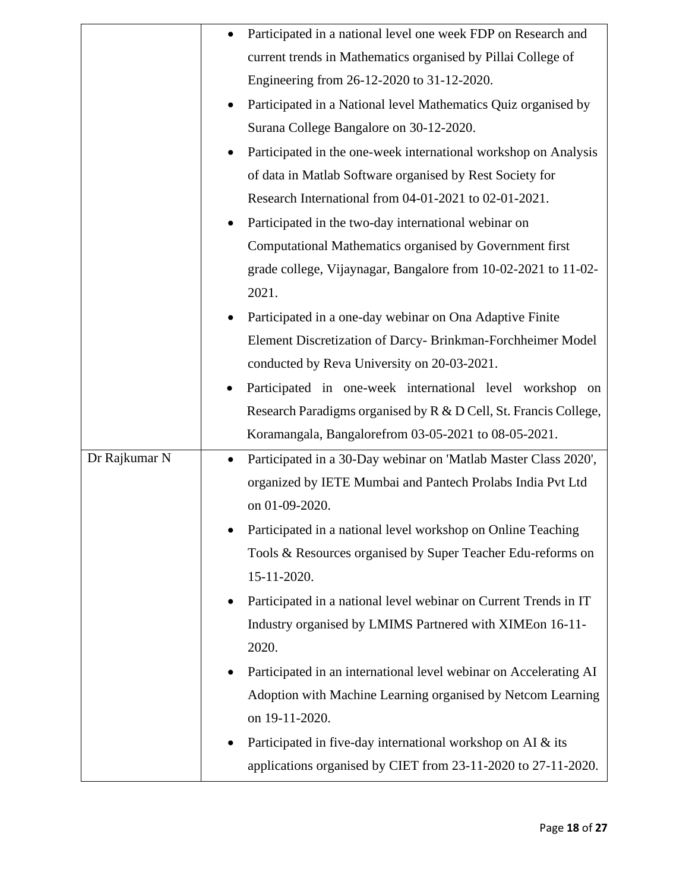|               |           | Participated in a national level one week FDP on Research and     |
|---------------|-----------|-------------------------------------------------------------------|
|               |           | current trends in Mathematics organised by Pillai College of      |
|               |           | Engineering from 26-12-2020 to 31-12-2020.                        |
|               |           | Participated in a National level Mathematics Quiz organised by    |
|               |           | Surana College Bangalore on 30-12-2020.                           |
|               |           | Participated in the one-week international workshop on Analysis   |
|               |           | of data in Matlab Software organised by Rest Society for          |
|               |           | Research International from 04-01-2021 to 02-01-2021.             |
|               |           | Participated in the two-day international webinar on              |
|               |           | Computational Mathematics organised by Government first           |
|               |           | grade college, Vijaynagar, Bangalore from 10-02-2021 to 11-02-    |
|               |           | 2021.                                                             |
|               |           | Participated in a one-day webinar on Ona Adaptive Finite          |
|               |           | Element Discretization of Darcy- Brinkman-Forchheimer Model       |
|               |           | conducted by Reva University on 20-03-2021.                       |
|               |           | Participated in one-week international level workshop on          |
|               |           | Research Paradigms organised by R & D Cell, St. Francis College,  |
|               |           | Koramangala, Bangalorefrom 03-05-2021 to 08-05-2021.              |
| Dr Rajkumar N | $\bullet$ | Participated in a 30-Day webinar on 'Matlab Master Class 2020',   |
|               |           | organized by IETE Mumbai and Pantech Prolabs India Pvt Ltd        |
|               |           | on 01-09-2020.                                                    |
|               |           | Participated in a national level workshop on Online Teaching      |
|               |           | Tools & Resources organised by Super Teacher Edu-reforms on       |
|               |           | 15-11-2020.                                                       |
|               |           | Participated in a national level webinar on Current Trends in IT  |
|               |           | Industry organised by LMIMS Partnered with XIMEon 16-11-          |
|               |           | 2020.                                                             |
|               |           | Participated in an international level webinar on Accelerating AI |
|               |           | Adoption with Machine Learning organised by Netcom Learning       |
|               |           | on 19-11-2020.                                                    |
|               |           | Participated in five-day international workshop on AI & its       |
|               |           | applications organised by CIET from 23-11-2020 to 27-11-2020.     |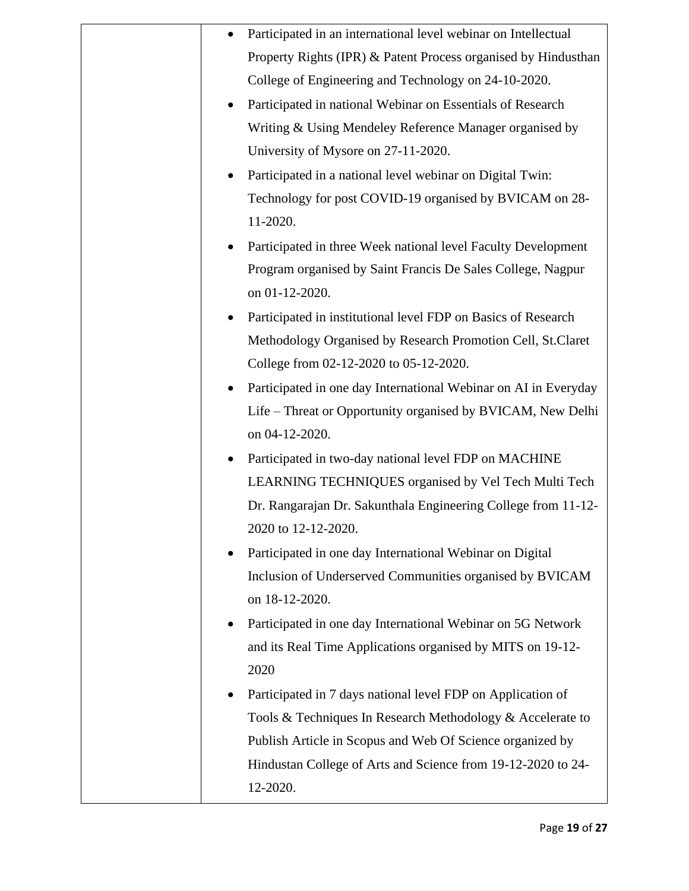|                     | Participated in an international level webinar on Intellectual  |
|---------------------|-----------------------------------------------------------------|
|                     | Property Rights (IPR) & Patent Process organised by Hindusthan  |
|                     | College of Engineering and Technology on 24-10-2020.            |
| $\bullet$           | Participated in national Webinar on Essentials of Research      |
|                     | Writing & Using Mendeley Reference Manager organised by         |
|                     | University of Mysore on 27-11-2020.                             |
| ٠                   | Participated in a national level webinar on Digital Twin:       |
|                     | Technology for post COVID-19 organised by BVICAM on 28-         |
| 11-2020.            |                                                                 |
|                     | Participated in three Week national level Faculty Development   |
|                     | Program organised by Saint Francis De Sales College, Nagpur     |
| on 01-12-2020.      |                                                                 |
|                     | Participated in institutional level FDP on Basics of Research   |
|                     | Methodology Organised by Research Promotion Cell, St.Claret     |
|                     | College from 02-12-2020 to 05-12-2020.                          |
| ٠                   | Participated in one day International Webinar on AI in Everyday |
|                     | Life – Threat or Opportunity organised by BVICAM, New Delhi     |
| on 04-12-2020.      |                                                                 |
| ٠                   | Participated in two-day national level FDP on MACHINE           |
|                     | LEARNING TECHNIQUES organised by Vel Tech Multi Tech            |
|                     | Dr. Rangarajan Dr. Sakunthala Engineering College from 11-12-   |
| 2020 to 12-12-2020. |                                                                 |
|                     | Participated in one day International Webinar on Digital        |
|                     | Inclusion of Underserved Communities organised by BVICAM        |
| on 18-12-2020.      |                                                                 |
|                     | Participated in one day International Webinar on 5G Network     |
|                     | and its Real Time Applications organised by MITS on 19-12-      |
| 2020                |                                                                 |
|                     | Participated in 7 days national level FDP on Application of     |
|                     | Tools & Techniques In Research Methodology & Accelerate to      |
|                     | Publish Article in Scopus and Web Of Science organized by       |
|                     | Hindustan College of Arts and Science from 19-12-2020 to 24-    |
| 12-2020.            |                                                                 |
|                     |                                                                 |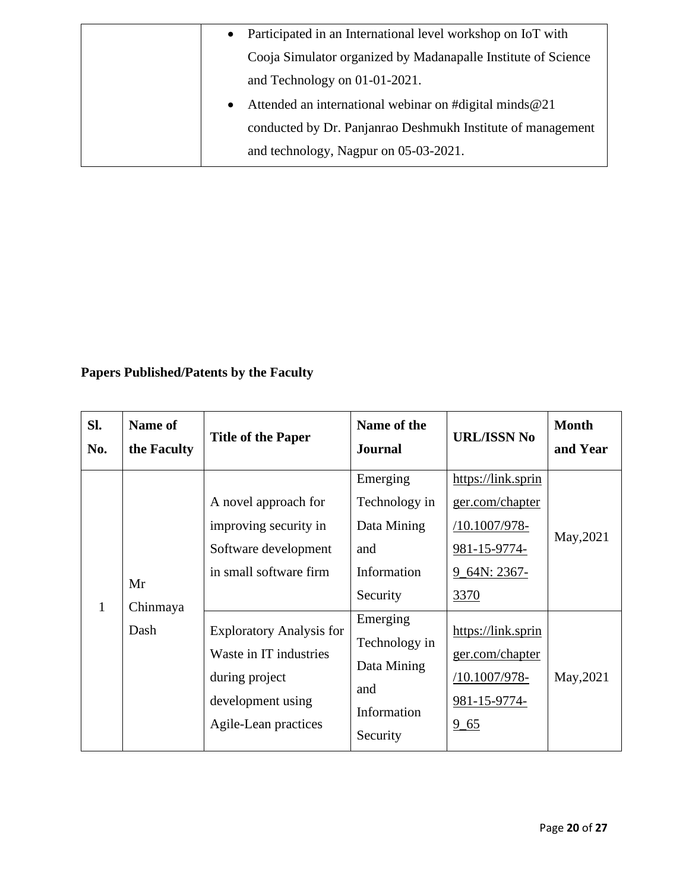| $\bullet$ | Participated in an International level workshop on IoT with   |
|-----------|---------------------------------------------------------------|
|           | Cooja Simulator organized by Madanapalle Institute of Science |
|           | and Technology on $01-01-2021$ .                              |
| $\bullet$ | Attended an international webinar on #digital minds@21        |
|           | conducted by Dr. Panjanrao Deshmukh Institute of management   |
|           | and technology, Nagpur on 05-03-2021.                         |

# **Papers Published/Patents by the Faculty**

| SI.<br>No.   | <b>Name of</b><br>the Faculty | <b>Title of the Paper</b>                                                                                                | Name of the<br><b>Journal</b>                                              | <b>URL/ISSN No</b>                                                                             | <b>Month</b><br>and Year |
|--------------|-------------------------------|--------------------------------------------------------------------------------------------------------------------------|----------------------------------------------------------------------------|------------------------------------------------------------------------------------------------|--------------------------|
| $\mathbf{1}$ | Mr<br>Chinmaya<br>Dash        | A novel approach for<br>improving security in<br>Software development<br>in small software firm                          | Emerging<br>Technology in<br>Data Mining<br>and<br>Information<br>Security | https://link.sprin<br>ger.com/chapter<br>/10.1007/978-<br>981-15-9774-<br>9_64N: 2367-<br>3370 | May, 2021                |
|              |                               | <b>Exploratory Analysis for</b><br>Waste in IT industries<br>during project<br>development using<br>Agile-Lean practices | Emerging<br>Technology in<br>Data Mining<br>and<br>Information<br>Security | https://link.sprin<br>ger.com/chapter<br>/10.1007/978-<br>981-15-9774-<br>$9 - 65$             | May, 2021                |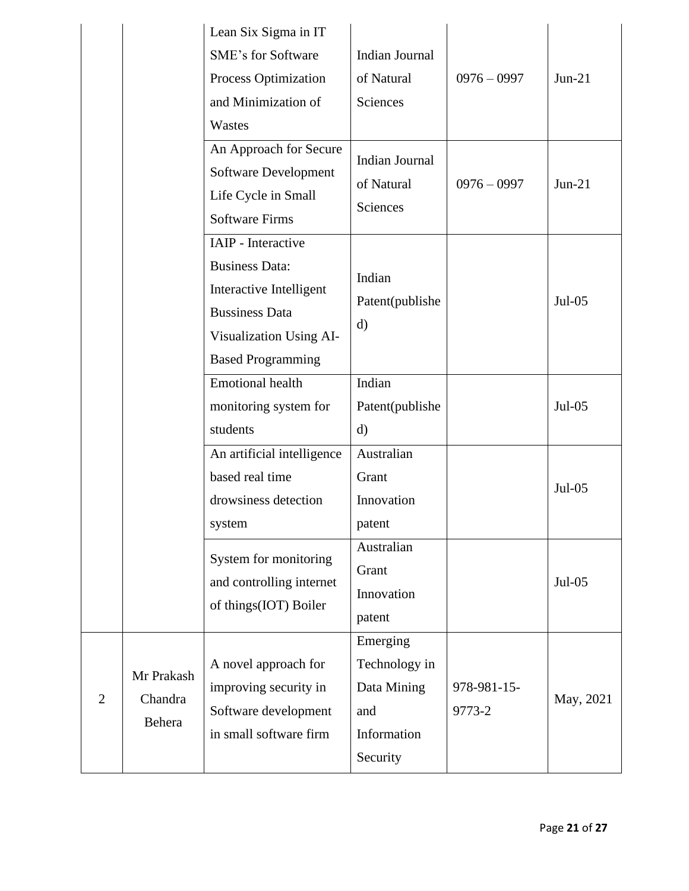|                |                                 | Lean Six Sigma in IT<br><b>SME's for Software</b><br><b>Process Optimization</b><br>and Minimization of<br>Wastes                                      | <b>Indian Journal</b><br>of Natural<br><b>Sciences</b>                     | $0976 - 0997$         | $Jun-21$  |
|----------------|---------------------------------|--------------------------------------------------------------------------------------------------------------------------------------------------------|----------------------------------------------------------------------------|-----------------------|-----------|
|                |                                 | An Approach for Secure<br>Software Development<br>Life Cycle in Small<br><b>Software Firms</b>                                                         | <b>Indian Journal</b><br>of Natural<br>Sciences                            | $0976 - 0997$         | $Jun-21$  |
|                |                                 | IAIP - Interactive<br><b>Business Data:</b><br>Interactive Intelligent<br><b>Bussiness Data</b><br>Visualization Using AI-<br><b>Based Programming</b> | Indian<br>Patent(publishe<br>d)                                            |                       | $Jul-05$  |
|                |                                 | <b>Emotional health</b><br>monitoring system for<br>students                                                                                           | Indian<br>Patent(publishe<br>$\mathbf{d}$                                  |                       | $Jul-05$  |
|                |                                 | An artificial intelligence<br>based real time<br>drowsiness detection<br>system                                                                        | Australian<br>Grant<br>Innovation<br>patent                                |                       | $Jul-05$  |
|                |                                 | System for monitoring<br>and controlling internet<br>of things(IOT) Boiler                                                                             | Australian<br>Grant<br>Innovation<br>patent                                |                       | $Jul-05$  |
| $\overline{2}$ | Mr Prakash<br>Chandra<br>Behera | A novel approach for<br>improving security in<br>Software development<br>in small software firm                                                        | Emerging<br>Technology in<br>Data Mining<br>and<br>Information<br>Security | 978-981-15-<br>9773-2 | May, 2021 |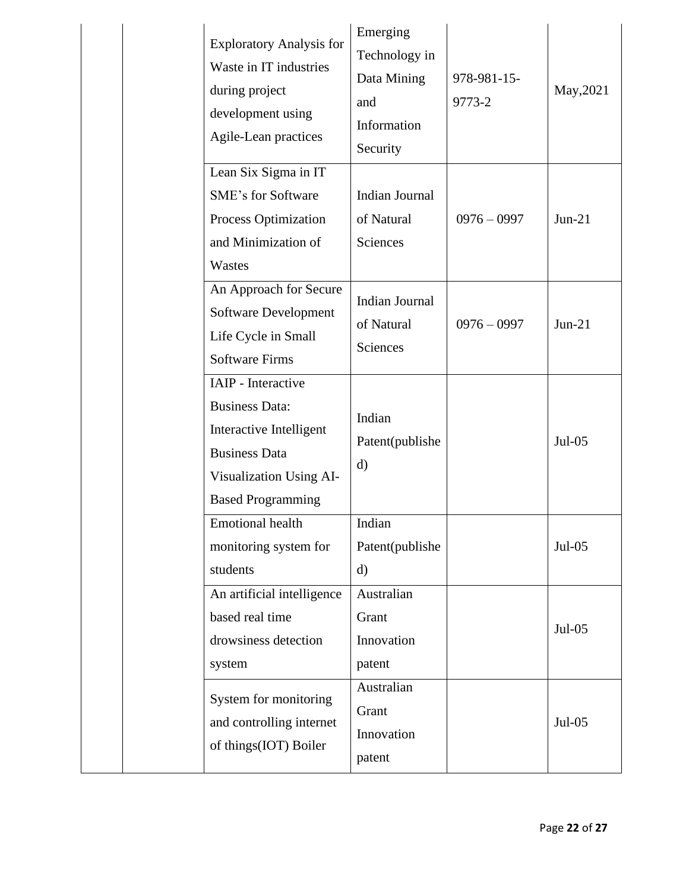| <b>Exploratory Analysis for</b><br>Waste in IT industries<br>during project<br>development using<br>Agile-Lean practices                              | Emerging<br>Technology in<br>Data Mining<br>and<br>Information<br>Security | 978-981-15-<br>9773-2 | May, 2021 |
|-------------------------------------------------------------------------------------------------------------------------------------------------------|----------------------------------------------------------------------------|-----------------------|-----------|
| Lean Six Sigma in IT<br><b>SME's for Software</b><br>Process Optimization<br>and Minimization of<br>Wastes                                            | Indian Journal<br>of Natural<br><b>Sciences</b>                            | $0976 - 0997$         | $Jun-21$  |
| An Approach for Secure<br>Software Development<br>Life Cycle in Small<br><b>Software Firms</b>                                                        | <b>Indian Journal</b><br>of Natural<br>Sciences                            | $0976 - 0997$         | $Jun-21$  |
| IAIP - Interactive<br><b>Business Data:</b><br>Interactive Intelligent<br><b>Business Data</b><br>Visualization Using AI-<br><b>Based Programming</b> | Indian<br>Patent(publishe<br>$\mathbf{d}$                                  |                       | $Jul-05$  |
| <b>Emotional health</b><br>monitoring system for<br>students                                                                                          | Indian<br>Patent(publishe<br>$\rm d)$                                      |                       | $Jul-05$  |
| An artificial intelligence<br>based real time<br>drowsiness detection<br>system                                                                       | Australian<br>Grant<br>Innovation<br>patent                                |                       | $Jul-05$  |
| System for monitoring<br>and controlling internet<br>of things(IOT) Boiler                                                                            | Australian<br>Grant<br>Innovation<br>patent                                |                       | $Jul-05$  |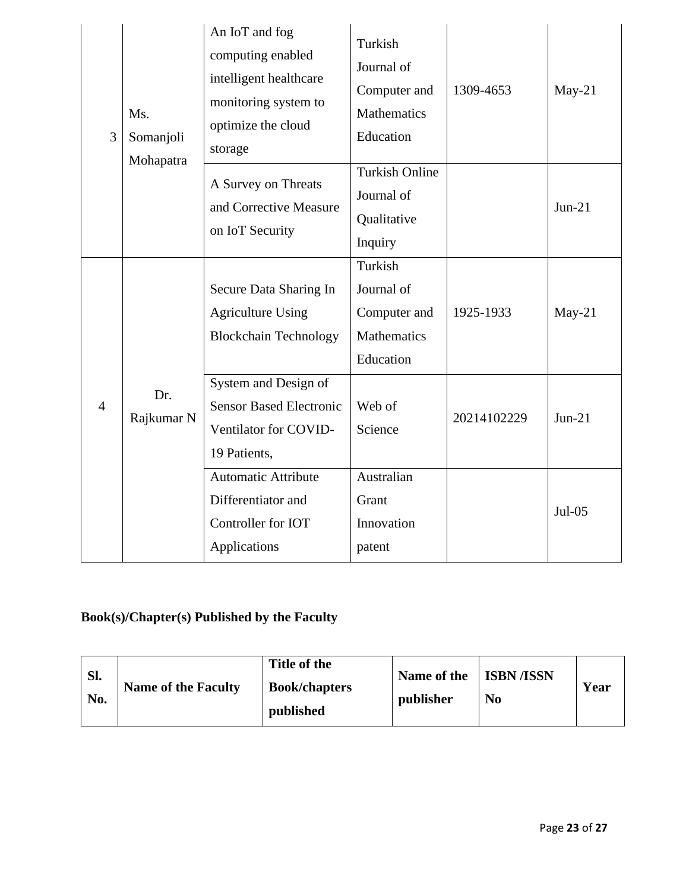| 3              | Ms.<br>Somanjoli<br>Mohapatra | An IoT and fog<br>computing enabled<br>intelligent healthcare<br>monitoring system to<br>optimize the cloud<br>storage | Turkish<br>Journal of<br>Computer and<br><b>Mathematics</b><br>Education | 1309-4653   | $May-21$ |
|----------------|-------------------------------|------------------------------------------------------------------------------------------------------------------------|--------------------------------------------------------------------------|-------------|----------|
|                |                               | A Survey on Threats<br>and Corrective Measure<br>on IoT Security                                                       | <b>Turkish Online</b><br>Journal of<br>Qualitative<br>Inquiry            |             | $Jun-21$ |
|                |                               | Secure Data Sharing In<br><b>Agriculture Using</b><br><b>Blockchain Technology</b>                                     | Turkish<br>Journal of<br>Computer and<br>Mathematics<br>Education        | 1925-1933   | $May-21$ |
| $\overline{4}$ | Dr.<br>Rajkumar N             | System and Design of<br><b>Sensor Based Electronic</b><br>Ventilator for COVID-<br>19 Patients,                        | Web of<br>Science                                                        | 20214102229 | $Jun-21$ |
|                |                               | <b>Automatic Attribute</b><br>Differentiator and<br>Controller for IOT<br>Applications                                 | Australian<br>Grant<br>Innovation<br>patent                              |             | $Jul-05$ |

# **Book(s)/Chapter(s) Published by the Faculty**

| Sl.<br>No. | <b>Name of the Faculty</b> | Title of the<br><b>Book/chapters</b><br>published | Name of the<br>publisher | <b>ISBN</b> /ISSN<br>N <sub>0</sub> | Year |
|------------|----------------------------|---------------------------------------------------|--------------------------|-------------------------------------|------|
|------------|----------------------------|---------------------------------------------------|--------------------------|-------------------------------------|------|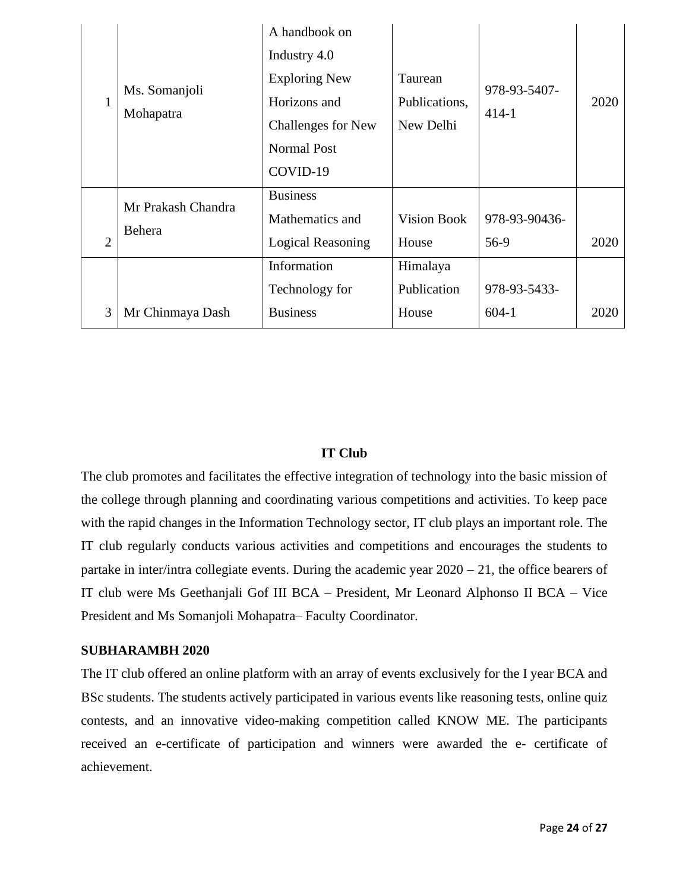| 1              | Ms. Somanjoli<br>Mohapatra   | A handbook on<br>Industry 4.0<br><b>Exploring New</b><br>Horizons and<br><b>Challenges for New</b><br><b>Normal Post</b><br>COVID-19 | Taurean<br>Publications,<br>New Delhi | 978-93-5407-<br>$414-1$ | 2020 |
|----------------|------------------------------|--------------------------------------------------------------------------------------------------------------------------------------|---------------------------------------|-------------------------|------|
| $\overline{2}$ | Mr Prakash Chandra<br>Behera | <b>Business</b><br>Mathematics and<br><b>Logical Reasoning</b>                                                                       | <b>Vision Book</b><br>House           | 978-93-90436-<br>56-9   | 2020 |
| 3              | Mr Chinmaya Dash             | Information<br>Technology for<br><b>Business</b>                                                                                     | Himalaya<br>Publication<br>House      | 978-93-5433-<br>$604-1$ | 2020 |

### **IT Club**

The club promotes and facilitates the effective integration of technology into the basic mission of the college through planning and coordinating various competitions and activities. To keep pace with the rapid changes in the Information Technology sector, IT club plays an important role. The IT club regularly conducts various activities and competitions and encourages the students to partake in inter/intra collegiate events. During the academic year 2020 – 21, the office bearers of IT club were Ms Geethanjali Gof III BCA – President, Mr Leonard Alphonso II BCA – Vice President and Ms Somanjoli Mohapatra– Faculty Coordinator.

### **SUBHARAMBH 2020**

The IT club offered an online platform with an array of events exclusively for the I year BCA and BSc students. The students actively participated in various events like reasoning tests, online quiz contests, and an innovative video-making competition called KNOW ME. The participants received an e-certificate of participation and winners were awarded the e- certificate of achievement.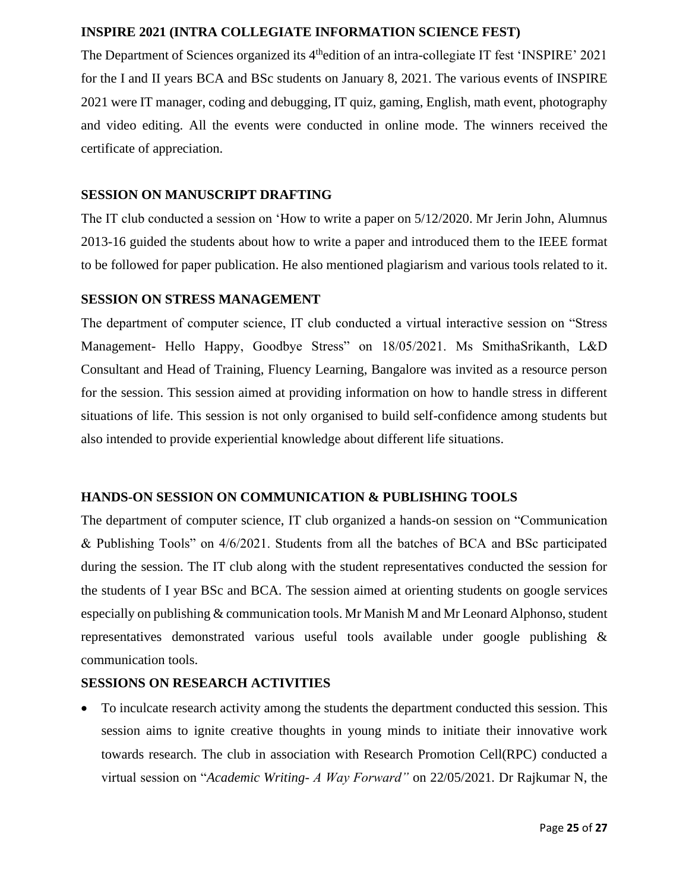### **INSPIRE 2021 (INTRA COLLEGIATE INFORMATION SCIENCE FEST)**

The Department of Sciences organized its 4<sup>th</sup>edition of an intra-collegiate IT fest 'INSPIRE' 2021 for the I and II years BCA and BSc students on January 8, 2021. The various events of INSPIRE 2021 were IT manager, coding and debugging, IT quiz, gaming, English, math event, photography and video editing. All the events were conducted in online mode. The winners received the certificate of appreciation.

### **SESSION ON MANUSCRIPT DRAFTING**

The IT club conducted a session on 'How to write a paper on 5/12/2020. Mr Jerin John, Alumnus 2013-16 guided the students about how to write a paper and introduced them to the IEEE format to be followed for paper publication. He also mentioned plagiarism and various tools related to it.

### **SESSION ON STRESS MANAGEMENT**

The department of computer science, IT club conducted a virtual interactive session on "Stress Management- Hello Happy, Goodbye Stress" on 18/05/2021. Ms SmithaSrikanth, L&D Consultant and Head of Training, Fluency Learning, Bangalore was invited as a resource person for the session. This session aimed at providing information on how to handle stress in different situations of life. This session is not only organised to build self-confidence among students but also intended to provide experiential knowledge about different life situations.

### **HANDS-ON SESSION ON COMMUNICATION & PUBLISHING TOOLS**

The department of computer science, IT club organized a hands-on session on "Communication & Publishing Tools" on 4/6/2021. Students from all the batches of BCA and BSc participated during the session. The IT club along with the student representatives conducted the session for the students of I year BSc and BCA. The session aimed at orienting students on google services especially on publishing & communication tools. Mr Manish M and Mr Leonard Alphonso, student representatives demonstrated various useful tools available under google publishing & communication tools.

### **SESSIONS ON RESEARCH ACTIVITIES**

• To inculcate research activity among the students the department conducted this session. This session aims to ignite creative thoughts in young minds to initiate their innovative work towards research. The club in association with Research Promotion Cell(RPC) conducted a virtual session on "*Academic Writing- A Way Forward"* on 22/05/2021*.* Dr Rajkumar N, the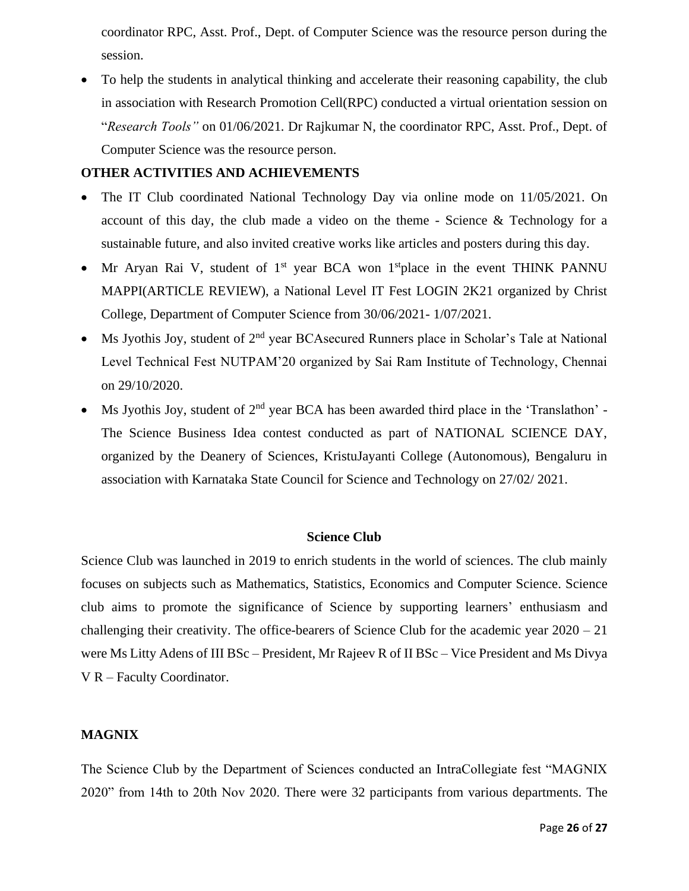coordinator RPC, Asst. Prof., Dept. of Computer Science was the resource person during the session.

• To help the students in analytical thinking and accelerate their reasoning capability, the club in association with Research Promotion Cell(RPC) conducted a virtual orientation session on "*Research Tools"* on 01/06/2021*.* Dr Rajkumar N, the coordinator RPC, Asst. Prof., Dept. of Computer Science was the resource person.

### **OTHER ACTIVITIES AND ACHIEVEMENTS**

- The IT Club coordinated National Technology Day via online mode on 11/05/2021. On account of this day, the club made a video on the theme - Science & Technology for a sustainable future, and also invited creative works like articles and posters during this day.
- Mr Aryan Rai V, student of  $1<sup>st</sup>$  year BCA won  $1<sup>st</sup>$  place in the event THINK PANNU MAPPI(ARTICLE REVIEW), a National Level IT Fest LOGIN 2K21 organized by Christ College, Department of Computer Science from 30/06/2021- 1/07/2021.
- Ms Jyothis Joy, student of  $2<sup>nd</sup>$  year BCAsecured Runners place in Scholar's Tale at National Level Technical Fest NUTPAM'20 organized by Sai Ram Institute of Technology, Chennai on 29/10/2020.
- Ms Jyothis Joy, student of  $2<sup>nd</sup>$  year BCA has been awarded third place in the 'Translathon' -The Science Business Idea contest conducted as part of NATIONAL SCIENCE DAY, organized by the Deanery of Sciences, KristuJayanti College (Autonomous), Bengaluru in association with Karnataka State Council for Science and Technology on 27/02/ 2021.

### **Science Club**

Science Club was launched in 2019 to enrich students in the world of sciences. The club mainly focuses on subjects such as Mathematics, Statistics, Economics and Computer Science. Science club aims to promote the significance of Science by supporting learners' enthusiasm and challenging their creativity. The office-bearers of Science Club for the academic year 2020 – 21 were Ms Litty Adens of III BSc – President, Mr Rajeev R of II BSc – Vice President and Ms Divya V R – Faculty Coordinator.

### **MAGNIX**

The Science Club by the Department of Sciences conducted an IntraCollegiate fest "MAGNIX 2020" from 14th to 20th Nov 2020. There were 32 participants from various departments. The